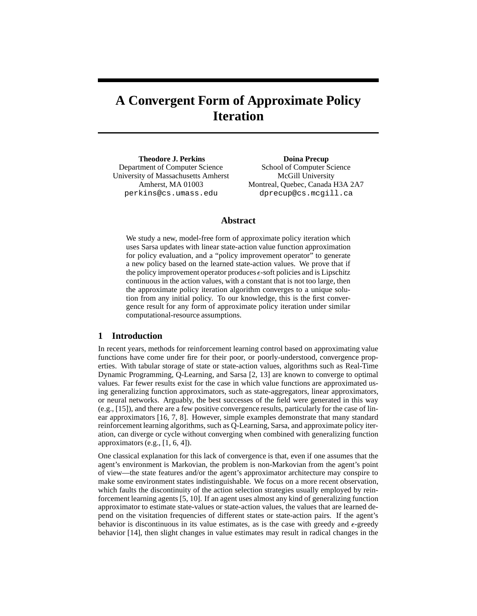# **A Convergent Form of Approximate Policy Iteration**

**Theodore J. Perkins** Department of Computer Science University of Massachusetts Amherst Amherst, MA 01003 perkins@cs.umass.edu

**Doina Precup** School of Computer Science McGill University Montreal, Quebec, Canada H3A 2A7 dprecup@cs.mcgill.ca

## **Abstract**

We study a new, model-free form of approximate policy iteration which uses Sarsa updates with linear state-action value function approximation for policy evaluation, and a "policy improvement operator" to generate a new policy based on the learned state-action values. We prove that if the policy improvement operator produces  $\epsilon$ -soft policies and is Lipschitz continuous in the action values, with a constant that is not too large, then the approximate policy iteration algorithm converges to a unique solution from any initial policy. To our knowledge, this is the first convergence result for any form of approximate policy iteration under similar computational-resource assumptions.

## **1 Introduction**

In recent years, methods for reinforcement learning control based on approximating value functions have come under fire for their poor, or poorly-understood, convergence properties. With tabular storage of state or state-action values, algorithms such as Real-Time Dynamic Programming, Q-Learning, and Sarsa [2, 13] are known to converge to optimal values. Far fewer results exist for the case in which value functions are approximated using generalizing function approximators, such as state-aggregators, linear approximators, or neural networks. Arguably, the best successes of the field were generated in this way (e.g., [15]), and there are a few positive convergence results, particularly for the case of linear approximators [16, 7, 8]. However, simple examples demonstrate that many standard reinforcement learning algorithms, such as Q-Learning, Sarsa, and approximate policy iteration, can diverge or cycle without converging when combined with generalizing function approximators  $(e.g., [1, 6, 4])$ .

One classical explanation for this lack of convergence is that, even if one assumes that the agent's environment is Markovian, the problem is non-Markovian from the agent's point of view—the state features and/or the agent's approximator architecture may conspire to make some environment states indistinguishable. We focus on a more recent observation, which faults the discontinuity of the action selection strategies usually employed by reinforcement learning agents [5, 10]. If an agent uses almost any kind of generalizing function approximator to estimate state-values or state-action values, the values that are learned depend on the visitation frequencies of different states or state-action pairs. If the agent's behavior is discontinuous in its value estimates, as is the case with greedy and  $\epsilon$ -greedy behavior [14], then slight changes in value estimates may result in radical changes in the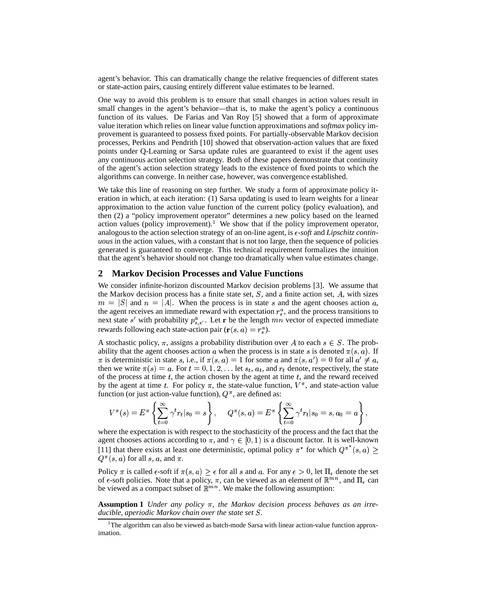agent's behavior. This can dramatically change the relative frequencies of different states or state-action pairs, causing entirely different value estimates to be learned.

One way to avoid this problem is to ensure that small changes in action values result in small changes in the agent's behavior—that is, to make the agent's policy a continuous function of its values. De Farias and Van Roy [5] showed that a form of approximate value iteration which relies on linear value function approximations and *softmax* policy improvement is guaranteed to possess fixed points. For partially-observable Markov decision processes, Perkins and Pendrith [10] showed that observation-action values that are fixed points under Q-Learning or Sarsa update rules are guaranteed to exist if the agent uses any continuous action selection strategy. Both of these papers demonstrate that continuity of the agent's action selection strategy leads to the existence of fixed points to which the algorithms can converge. In neither case, however, was convergence established.

We take this line of reasoning on step further. We study a form of approximate policy iteration in which, at each iteration: (1) Sarsa updating is used to learn weights for a linear approximation to the action value function of the current policy (policy evaluation), and then (2) a "policy improvement operator" determines a new policy based on the learned action values (policy improvement).<sup>1</sup> We show that if the policy improvement operator, analogous to the action selection strategy of an on-line agent, is  $\epsilon$ -soft and *Lipschitz continuous* in the action values, with a constant that is not too large, then the sequence of policies generated is guaranteed to converge. This technical requirement formalizes the intuition that the agent's behavior should not change too dramatically when value estimates change.

# **2 Markov Decision Processes and Value Functions**

We consider infinite-horizon discounted Markov decision problems [3]. We assume that the Markov decision process has a finite state set,  $S$ , and a finite action set,  $A$ , with sizes  $m = |S|$  and  $n = |A|$ . When the process is in state s and the agent chooses action a, the agent receives an immediate reward with expectation  $r_s^a$ , and the process transitions to next state s' with probability  $p_{s,s'}^a$ . Let **r** be the length  $mn$  vector of expected immediate rewards following each state-action pair  $(r(s, a) = r_s^a)$ .

A stochastic policy,  $\pi$ , assigns a probability distribution over A to each  $s \in S$ . The probability that the agent chooses action a when the process is in state s is denoted  $\pi(s, a)$ . If  $\pi$  is deterministic in state s, i.e., if  $\pi(s, a) = 1$  for some a and  $\pi(s, a') = 0$  for all  $a' \neq a$ , then we write  $\pi(s) = a$ . For  $t = 0, 1, 2, \ldots$  let  $s_t, a_t$ , and  $r_t$  denote, respectively, the state of the process at time  $t$ , the action chosen by the agent at time  $t$ , and the reward received by the agent at time t. For policy  $\pi$ , the state-value function,  $V^{\pi}$ , and state-action value function (or just action-value function),  $Q^{\pi}$ , are defined as:

$$
V^{\pi}(s) = E^{\pi} \left\{ \sum_{t=0}^{\infty} \gamma^{t} r_{t} | s_{0} = s \right\}, \quad Q^{\pi}(s, a) = E^{\pi} \left\{ \sum_{t=0}^{\infty} \gamma^{t} r_{t} | s_{0} = s, a_{0} = a \right\},
$$

where the expectation is with respect to the stochasticity of the process and the fact that the agent chooses actions according to  $\pi$ , and  $\gamma \in [0, 1)$  is a discount factor. It is well-known [11] that there exists at least one deterministic, optimal policy  $\pi^*$  for which  $Q^{\pi^*}(s, a) \geq$  $Q^{\pi}(s,a)$  for all  $s,$   $a,$  and  $\pi.$ 

Policy  $\pi$  is called  $\epsilon$ -soft if  $\pi(s, a) \geq \epsilon$  for all s and a. For any  $\epsilon > 0$ , let  $\Pi_{\epsilon}$  denote the set of  $\epsilon$ -soft policies. Note that a policy,  $\pi$ , can be viewed as an element of  $\mathbb{R}^{mn}$ , and  $\Pi_{\epsilon}$  can be viewed as a compact subset of  $\mathbb{R}^{mn}$ . We make the following assumption:

**Assumption 1** *Under any policy*  $\pi$ , the Markov decision process behaves as an irre*ducible, aperiodic Markov chain over the state set .*

 $1$ The algorithm can also be viewed as batch-mode Sarsa with linear action-value function approximation.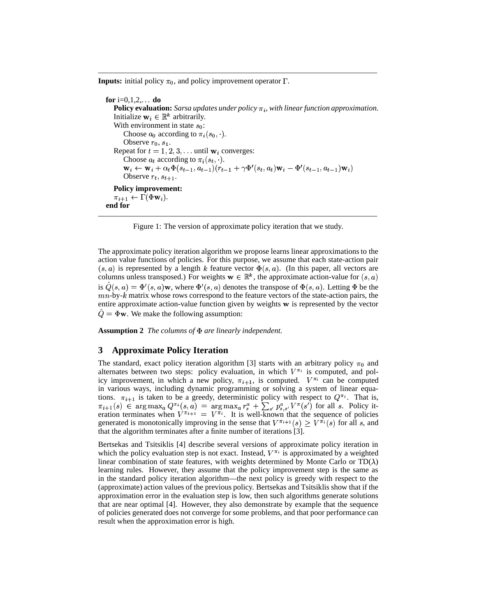**Inputs:** initial policy  $\pi_0$ , and policy improvement operator  $\Gamma$ .

```
for i=0, 1, 2, \ldots do
 Policy evaluation: Sarsa updates under policy \pi_i, with linear function approximation.
Initialize \mathbf{w}_i \in \mathbb{R}^k arbitrarily.
With environment in state s_0:
    Choose a_0 according to \pi_i(s_0, \cdot).
    Observe r_0, s_1.
 Repeat for t = 1, 2, 3, \dots until w_i converges:
    Choose a_t according to \pi_i(s_t, \cdot).
    Observe r_{i}, s_{i+1}Observe r_t, s_{t+1}.
Policy improvement: \pi_{i+1} \leftarrow \Gamma(\Phi \mathbf{w}_i).end for
```
————————————————————————————————————



The approximate policy iteration algorithm we propose learns linear approximations to the action value functions of policies. For this purpose, we assume that each state-action pair  $(s, a)$  is represented by a length k feature vector  $\Phi(s, a)$ . (In this paper, all vectors are columns unless transposed.) For weights  $\mathbf{w} \in \mathbb{R}^k$ , the approximate action-value for  $(s, a)$ is  $\hat{Q}(s, a) = \Phi'(s, a)$  w, where  $\Phi'(s, a)$  denotes the transpose of  $\Phi(s, a)$ . Letting  $\Phi$  be the mn-by-k matrix whose rows correspond to the feature vectors of the state-action pairs, the entire approximate action-value function given by weights  $w$  is represented by the vector  $\hat{Q} = \Phi \mathbf{w}$ . We make the following assumption:

**Assumption 2** *The columns of are linearly independent.*

# **3 Approximate Policy Iteration**

The standard, exact policy iteration algorithm [3] starts with an arbitrary policy  $\pi_0$  and alternates between two steps: policy evaluation, in which  $V^{\pi_i}$  is computed, and policy improvement, in which a new policy,  $\pi_{i+1}$ , is computed.  $V^{\pi_i}$  can be computed in various ways, including dynamic programming or solving a system of linear equations.  $\pi_{i+1}$  is taken to be a greedy, deterministic policy with respect to  $Q^{\pi_i}$ . That is,  $\pi_{i+1}(s) \in \arg \max_{a} Q^{\pi_i}(s,a) = \arg \max_{a} r_s^a + \sum_{s'} p_{s,s'}^a V^{\pi}(s')$  for all s. Policy iteration terminates when  $V^{\pi_{i+1}} = V^{\pi_i}$ . It is well-known that the sequence of policies generated is monotonically improving in the sense that  $V^{\pi_{i+1}}(s) > V^{\pi_i}(s)$  for all s, and that the algorithm terminates after a finite number of iterations [3].

Bertsekas and Tsitsiklis [4] describe several versions of approximate policy iteration in which the policy evaluation step is not exact. Instead,  $V^{\pi_i}$  is approximated by a weighted linear combination of state features, with weights determined by Monte Carlo or  $TD(\lambda)$ learning rules. However, they assume that the policy improvement step is the same as in the standard policy iteration algorithm—the next policy is greedy with respect to the (approximate) action values of the previous policy. Bertsekas and Tsitsiklis show that if the approximation error in the evaluation step is low, then such algorithms generate solutions that are near optimal [4]. However, they also demonstrate by example that the sequence of policies generated does not converge for some problems, and that poor performance can result when the approximation error is high.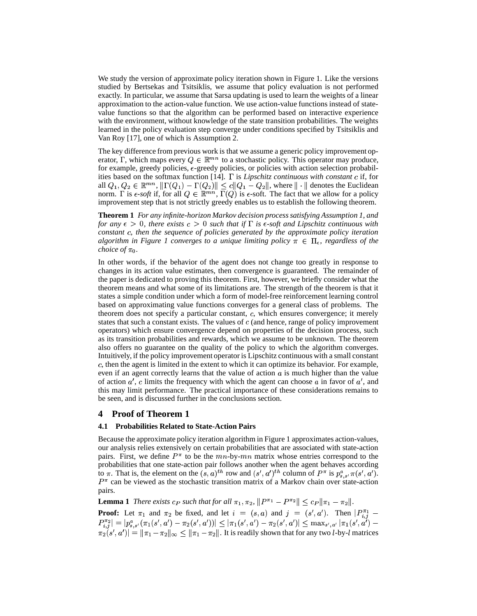We study the version of approximate policy iteration shown in Figure 1. Like the versions studied by Bertsekas and Tsitsiklis, we assume that policy evaluation is not performed exactly. In particular, we assume that Sarsa updating is used to learn the weights of a linear approximation to the action-value function. We use action-value functions instead of statevalue functions so that the algorithm can be performed based on interactive experience with the environment, without knowledge of the state transition probabilities. The weights learned in the policy evaluation step converge under conditions specified by Tsitsiklis and Van Roy [17], one of which is Assumption 2.

The key difference from previous work is that we assume a generic policy improvement operator,  $\Gamma$ , which maps every  $Q \in \mathbb{R}^{mn}$  to a stochastic policy. This operator may produce, for example, greedy policies, -greedy policies, or policies with action selection probabilities based on the softmax function  $[14]$ .  $\Gamma$  is *Lipschitz continuous with constant c* if, for all  $Q_1, Q_2 \in \mathbb{R}^{mn}$ ,  $\|\Gamma(Q_1) - \Gamma(Q_2)\| \leq c\|Q_1 - Q_2\|$ , where  $\|\cdot\|$  denotes the Euclidean norm.  $\Gamma$  is  $\epsilon$ -soft if, for all  $Q \in \mathbb{R}^{mn}$ ,  $\Gamma(Q)$  is  $\epsilon$ -soft. The fact that we allow for a policy improvement step that is not strictly greedy enables us to establish the following theorem.

**Theorem 1** *For any infinite-horizon Markov decision process satisfying Assumption 1, and for any*  $\epsilon > 0$ , there exists  $c > 0$  such that if  $\Gamma$  is  $\epsilon$ -soft and Lipschitz continuous with *constant c*, then the sequence of policies generated by the approximate policy iteration *algorithm in Figure 1 converges to a unique limiting policy*  $\pi \in \Pi_{\epsilon}$ , regardless of the *choice of*  $\pi_0$ *.* 

In other words, if the behavior of the agent does not change too greatly in response to changes in its action value estimates, then convergence is guaranteed. The remainder of the paper is dedicated to proving this theorem. First, however, we briefly consider what the theorem means and what some of its limitations are. The strength of the theorem is that it states a simple condition under which a form of model-free reinforcement learning control based on approximating value functions converges for a general class of problems. The theorem does not specify a particular constant,  $c$ , which ensures convergence; it merely states that such a constant exists. The values of  $c$  (and hence, range of policy improvement operators) which ensure convergence depend on properties of the decision process, such as its transition probabilities and rewards, which we assume to be unknown. The theorem also offers no guarantee on the quality of the policy to which the algorithm converges. Intuitively, if the policy improvement operator is Lipschitz continuous with a small constant , then the agent is limited in the extent to which it can optimize its behavior. For example, even if an agent correctly learns that the value of action  $a$  is much higher than the value of action  $a'$ , c limits the frequency with which the agent can choose a in favor of  $a'$ , and this may limit performance. The practical importance of these considerations remains to be seen, and is discussed further in the conclusions section.

#### **4 Proof of Theorem 1**

#### **4.1 Probabilities Related to State-Action Pairs**

Because the approximate policy iteration algorithm in Figure 1 approximates action-values, our analysis relies extensively on certain probabilities that are associated with state-action pairs. First, we define  $P^{\pi}$  to be the  $mn$ -by- $mn$  matrix whose entries correspond to the probabilities that one state-action pair follows another when the agent behaves according to  $\pi$ . That is, the element on the  $(s, a)^{th}$  row and  $(s', a')^{th}$  column of  $P^{\pi}$  is  $p_{s,s'}^{\alpha} \pi(s', a')$ .  $P^{\pi}$  can be viewed as the stochastic transition matrix of a Markov chain over state-action pairs.

**Lemma 1** *There exists*  $c_P$  *such that for all*  $\pi_1, \pi_2, \|P^{\pi_1} - P^{\pi_2}\| \leq c_P \|\pi_1 - \pi_2\|$ .

**Proof:** Let  $\pi_1$  and  $\pi_2$  be fixed, and let  $i = (s, a)$  and  $j = (s', a')$ . Then  $|P_{i,j}^{\pi_1}|$  $|P_{i,j}^{\pi_2}|=|p_{s,s'}^a(\pi_1(s',a')-\pi_2(s',a'))|\le |\pi_1(s',a')-\pi_2(s',a')|\le \max_{s',a'}|\pi_1(s',a')-\pi_2(s',a')|$  $\pi_2(s',a')| = \|\pi_1 - \pi_2\|_{\infty} \le \|\pi_1 - \pi_2\|$ . It is readily shown that for any two *l*-by-*l* matrices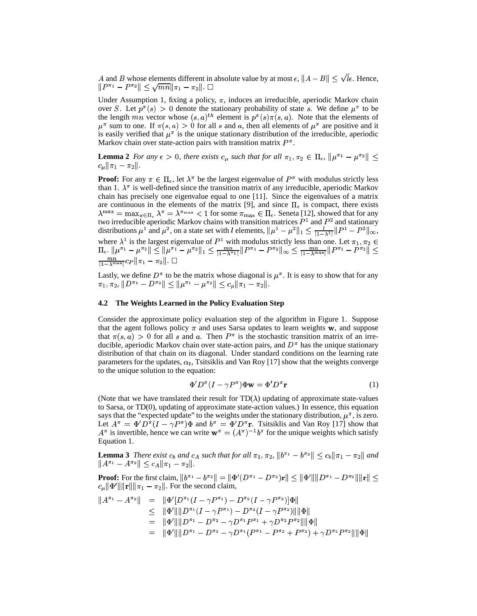A and B whose elements different in absolute value by at most  $\epsilon$ ,  $||A - B|| \leq \sqrt{l\epsilon}$ . Hence,  $\|P^{\pi_1}-P^{\pi_2}\|\leq \sqrt{mn}\|\pi_1-\pi_2\|. \ \Box$ 

Under Assumption 1, fixing a policy,  $\pi$ , induces an irreducible, aperiodic Markov chain over S. Let  $p^{\pi}(s) > 0$  denote the stationary probability of state s. We define  $\mu^{\pi}$  to be the length  $mn$  vector whose  $(s, a)^{th}$  element is  $p^{\pi}(s)\pi(s, a)$ . Note that the elements of  $\mu^{\pi}$  sum to one. If  $\pi(s, a) > 0$  for all s and a, then all elements of  $\mu^{\pi}$  are positive and it is easily verified that  $\mu^{\pi}$  is the unique stationary distribution of the irreducible, aperiodic Markov chain over state-action pairs with transition matrix  $P^{\pi}$ .

**Lemma 2** For any  $\epsilon > 0$ , there exists  $c_{\mu}$  such that for all  $\pi_1, \pi_2 \in \Pi_{\epsilon}$ ,  $\|\mu^{\pi_1} - \mu^{\pi_2}\| \leq$  $c_{\mu} \| \pi_1 - \pi_2 \|.$ 

**Proof:** For any  $\pi \in \Pi_{\epsilon}$ , let  $\lambda^{\pi}$  be the largest eigenvalue of  $P^{\pi}$  with modulus strictly less than 1.  $\lambda^{\pi}$  is well-defined since the transition matrix of any irreducible, aperiodic Markov chain has precisely one eigenvalue equal to one [11]. Since the eigenvalues of a matrix are continuous in the elements of the matrix [9], and since  $\Pi_{\epsilon}$  is compact, there exists  $\lambda^{\max} = \max_{\pi \in \Pi_{\epsilon}} \lambda^{\pi} = \lambda^{\pi_{\max}} < 1$  for some  $\pi_{\max} \in \Pi_{\epsilon}$ . Seneta [12], showed that for any two irreducible aperiodic Markov chains with transition matrices  $P^1$  and  $P^2$  and stationary distributions  $\mu^1$  and  $\mu^2$ , on a state set with *l* elements,  $\|\mu^1 - \mu^2\|_1 \leq \frac{l}{|1 - \lambda^1|} \|P^1 - P^2\|_{\infty}$ , where  $\lambda^1$  is the largest eigenvalue of  $P^1$  with modulus strictly less than one. Let  $\pi_1, \pi_2 \in$  $\Pi_{\epsilon}$ .  $\|\mu^{\pi_1}-\mu^{\pi_2}\|\leq \|\mu^{\pi_1}-\mu^{\pi_2}\|_1\leq \frac{mn}{|1-\lambda^{\pi_1}|}\|P^{\pi_1} \| \|P^{\pi_1} - P^{\pi_2} \|_\infty \leq \frac{mn}{\|1-\lambda^{\max}\|} \|P^{\pi_1} - P^{\pi_2} \| \leq 1$  $\frac{mn}{|1-\lambda^{\max}|}c_P\|\pi_1-\pi_2\|. \ \Box$ 

Lastly, we define  $D^{\pi}$  to be the matrix whose diagonal is  $\mu^{\pi}$ . It is easy to show that for any  $\pi_1, \pi_2, \|D^{\pi_1}-D^{\pi_2}\|\leq \|\mu^{\pi_1}-\mu^{\pi_2}\|\leq c_\mu\|\pi_1-\pi_2\|.$ 

#### **4.2 The Weights Learned in the Policy Evaluation Step**

Consider the approximate policy evaluation step of the algorithm in Figure 1. Suppose that the agent follows policy  $\pi$  and uses Sarsa updates to learn weights  $\bf{w}$ , and suppose that  $\pi(s, a) > 0$  for all s and a. Then  $P^{\pi}$  is the stochastic transition matrix of an irreducible, aperiodic Markov chain over state-action pairs, and  $D^{\pi}$  has the unique stationary distribution of that chain on its diagonal. Under standard conditions on the learning rate parameters for the updates,  $\alpha_t$ , Tsitsiklis and Van Roy [17] show that the weights converge to the unique solution to the equation:

$$
\Phi' D^{\pi} (I - \gamma P^{\pi}) \Phi \mathbf{w} = \Phi' D^{\pi} \mathbf{r}
$$
 (1)

(Note that we have translated their result for  $TD(\lambda)$  updating of approximate state-values to Sarsa, or TD(0), updating of approximate state-action values.) In essence, this equation says that the "expected update" to the weights under the stationary distribution,  $\mu^{\pi}$ , is zero. Let  $A^{\pi} = \Phi'D^{\pi}(I - \gamma P^{\pi})\Phi$  and  $b^{\pi} = \Phi'D^{\pi}r$ . Tsitsiklis and Van Roy [17] show that  $A^{\pi}$  is invertible hence we can write  $\mathbf{w}^{\pi} = (A^{\pi})^{-1}b^{\pi}$  for the unique weights which satisfy  $A^{\pi}$  is invertible, hence we can write  $\mathbf{w}^{\pi} = (A^{\pi})^{-1}b^{\pi}$  for the unique weights which satisfy Equation 1.

**Lemma 3** *There exist*  $c_b$  and  $c_A$  such that for all  $\pi_1, \pi_2, \|b^{\pi_1} - b^{\pi_2}\| \leq c_b \|\pi_1 - \pi_2\|$  and  $||A^{\pi_1}-A^{\pi_2}|| \leq c_A ||\pi_1-\pi_2||.$ 

**Proof:** For the first claim,  $||b^{\pi_1} - b^{\pi_2}|| = ||\Phi'(D^{\pi_1} - D^{\pi_2})\mathbf{r}|| \le ||\Phi'|| ||D^{\pi_1} - D^{\pi_2}|| ||\mathbf{r}|| \le$  $c_{\mu}$   $\|\Phi'\|\|\mathbf{r}\|\|\pi_1 - \pi_2\|$ . For the second claim,

$$
||A^{\pi_1} - A^{\pi_2}|| = ||\Phi'[D^{\pi_1}(I - \gamma P^{\pi_1}) - D^{\pi_2}(I - \gamma P^{\pi_2})]\Phi||
$$
  
\n
$$
\leq ||\Phi'|| ||D^{\pi_1}(I - \gamma P^{\pi_1}) - D^{\pi_2}(I - \gamma P^{\pi_2})|| ||\Phi||
$$
  
\n
$$
= ||\Phi'|| ||D^{\pi_1} - D^{\pi_2} - \gamma D^{\pi_1} P^{\pi_1} + \gamma D^{\pi_2} P^{\pi_2}|| ||\Phi||
$$
  
\n
$$
= ||\Phi'|| ||D^{\pi_1} - D^{\pi_2} - \gamma D^{\pi_1}(P^{\pi_1} - P^{\pi_2} + P^{\pi_2}) + \gamma D^{\pi_2} P^{\pi_2}|| ||\Phi||
$$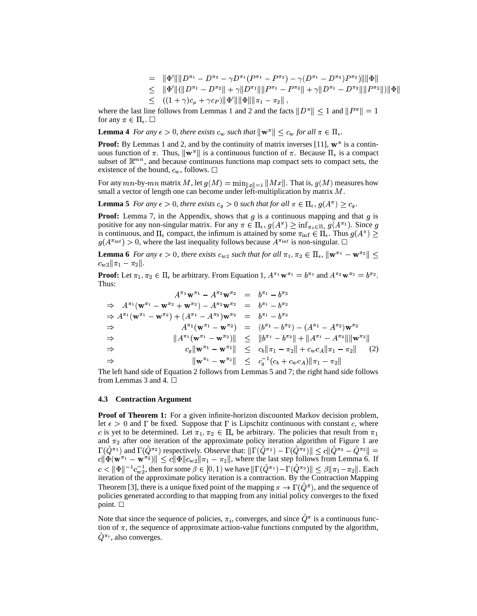$$
= \|\Phi'\|\|D^{\pi_1} - D^{\pi_2} - \gamma D^{\pi_1}(P^{\pi_1} - P^{\pi_2}) - \gamma(D^{\pi_1} - D^{\pi_2})P^{\pi_2})\|\|\Phi\|
$$
  
\n
$$
\leq \|\Phi'\|(\|D^{\pi_1} - D^{\pi_2}\| + \gamma\|D^{\pi_1}\|\|P^{\pi_1} - P^{\pi_2}\| + \gamma\|D^{\pi_1} - D^{\pi_2}\|\|P^{\pi_2}\|)\|\Phi\|
$$
  
\n
$$
\langle (1 + \gamma)c_\mu + \gamma c_P \rangle \|\Phi'\|\|\Phi\|\|\pi_1 - \pi_2\|,
$$

where the last line follows from Lemmas 1 and 2 and the facts  $||D^{\pi}|| \le 1$  and  $||P^{\pi}|| = 1$ for any  $\pi \in \Pi_{\epsilon}$ .  $\Box$ 

**Lemma 4** *For any*  $\epsilon > 0$ , *there exists*  $c_w$  *such that*  $\|\mathbf{w}^\pi\| \leq c_w$  *for all*  $\pi \in \Pi_{\epsilon}$ .

**Proof:** By Lemmas 1 and 2, and by the continuity of matrix inverses [11],  $\mathbf{w}^{\pi}$  is a continuous function of  $\pi$ . Thus,  $\|\mathbf{w}^{\pi}\|$  is a continuous function of  $\pi$ . Because  $\Pi_{\epsilon}$  is a compact subset of  $\mathbb{R}^{m}$ , and because continuous functions map compact sets to compact sets, the existence of the bound,  $c_w$ , follows.  $\Box$ 

For any  $mn$ -by- $mn$  matrix  $M$ , let  $g(M) = \min_{\|x\|=1} \|Mx\|$ . That is,  $g(M)$  measures how small a vector of length one can become under left-multiplication by matrix  $M$ .

**Lemma 5** *For any*  $\epsilon > 0$ , there exists  $c_q > 0$  such that for all  $\pi \in \Pi_{\epsilon}$ ,  $g(A^{\pi}) \geq c_q$ .

**Proof:** Lemma 7, in the Appendix, shows that  $g$  is a continuous mapping and that  $g$  is positive for any non-singular matrix. For any  $\pi \in \Pi_{\epsilon}$ ,  $g(A^{\pi}) \geq \inf_{\pi_1 \in \Pi_{\epsilon}} g(A^{\pi_1})$ . Since g is continuous, and  $\Pi_{\epsilon}$  compact, the infimum is attained by some  $\pi_{\inf} \in \Pi_{\epsilon}$ . Thus  $g(A^{\pi}) \ge$  $g(A^{\pi_{\text{inf}}}) > 0$ , where the last inequality follows because  $A^{\pi_{\text{inf}}}$  is non-singular.  $\square$ 

**Lemma 6** For any  $\epsilon > 0$ , there exists  $c_{w2}$  such that for all  $\pi_1, \pi_2 \in \Pi_{\epsilon}$ ,  $\|\mathbf{w}^{\pi_1} - \mathbf{w}^{\pi_2}\| \leq$  $c_{w2} \|\pi_1 - \pi_2\|.$ 

**Proof:** Let  $\pi_1, \pi_2 \in \Pi_\epsilon$  be arbitrary. From Equation 1,  $A^{\pi_1} \mathbf{w}^{\pi_1} = b^{\pi_1}$  and  $A^{\pi_2} \mathbf{w}^{\pi_2} = b^{\pi_2}$ . Thus:

$$
A^{\pi_1} \mathbf{w}^{\pi_1} - A^{\pi_2} \mathbf{w}^{\pi_2} = b^{\pi_1} - b^{\pi_2}
$$
\n
$$
\Rightarrow A^{\pi_1} (\mathbf{w}^{\pi_1} - \mathbf{w}^{\pi_2}) + (A^{\pi_1} - A^{\pi_2}) \mathbf{w}^{\pi_2} = b^{\pi_1} - b^{\pi_2}
$$
\n
$$
\Rightarrow A^{\pi_1} (\mathbf{w}^{\pi_1} - \mathbf{w}^{\pi_2}) + (A^{\pi_1} - A^{\pi_2}) \mathbf{w}^{\pi_2} = b^{\pi_1} - b^{\pi_2}
$$
\n
$$
\Rightarrow A^{\pi_1} (\mathbf{w}^{\pi_1} - \mathbf{w}^{\pi_2}) = (b^{\pi_1} - b^{\pi_2}) - (A^{\pi_1} - A^{\pi_2}) \mathbf{w}^{\pi_2}
$$
\n
$$
\Rightarrow ||A^{\pi_1} (\mathbf{w}^{\pi_1} - \mathbf{w}^{\pi_2})|| \le ||b^{\pi_1} - b^{\pi_2}|| + ||A^{\pi_1} - A^{\pi_2}|| ||\mathbf{w}^{\pi_2}||
$$
\n
$$
\Rightarrow c_g ||\mathbf{w}^{\pi_1} - \mathbf{w}^{\pi_2}|| \le c_b ||\pi_1 - \pi_2|| + c_w c_A ||\pi_1 - \pi_2|| \quad (2)
$$
\n
$$
\Rightarrow ||\mathbf{w}^{\pi_1} - \mathbf{w}^{\pi_2}|| \le c_g^{-1} (c_b + c_w c_A) ||\pi_1 - \pi_2||
$$

The left hand side of Equation 2 follows from Lemmas 5 and 7; the right hand side follows from Lemmas 3 and 4.  $\Box$ 

#### **4.3 Contraction Argument**

**Proof of Theorem 1:** For a given infinite-horizon discounted Markov decision problem, let  $\epsilon > 0$  and  $\Gamma$  be fixed. Suppose that  $\Gamma$  is Lipschitz continuous with constant c, where c is yet to be determined. Let  $\pi_1, \pi_2 \in \Pi_\epsilon$  be arbitrary. The policies that result from  $\pi_1$ and  $\pi_2$  after one iteration of the approximate policy iteration algorithm of Figure 1 are  $\Gamma(\hat{Q}^{\pi_1})$  and  $\Gamma(\hat{Q}^{\pi_2})$  respectively. Observe that:  $\|\Gamma(\hat{Q}^{\pi_1}) - \Gamma(\hat{Q}^{\pi_2})\| \leq c \|\hat{Q}^{\pi_1} - \hat{Q}^{\pi_2}\| =$  $c\|\Phi(\mathbf{w}^{\pi_1}-\mathbf{w}^{\pi_2})\|\leq c\|\Phi\|c_{w2}\|\pi_1-\pi_2\|,$  where the last step follows from Lemma 6. If  $c<\|\Phi\|^{-1}c_{m2}^{-1}$ , then for some  $\beta\in[0,1)$  we have  $\|\Gamma(\hat{Q}^{\pi_1})-\Gamma(\hat{Q}^{\pi_2})\|\leq\beta\|\pi_1-\pi_2\|$ . Each iteration of the approximate policy iteration is a contraction. By the Contraction Mapping Theorem [3], there is a unique fixed point of the mapping  $\pi \to \Gamma(\hat{Q}^{\pi})$ , and the sequence of policies generated according to that mapping from any initial policy converges to the fixed point.  $\square$ 

Note that since the sequence of policies,  $\pi_i$ , converges, and since  $Q^{\pi}$  is a continuous function of  $\pi$ , the sequence of approximate action-value functions computed by the algorithm,  $\dot{Q}^{\pi_i}$ , also converges.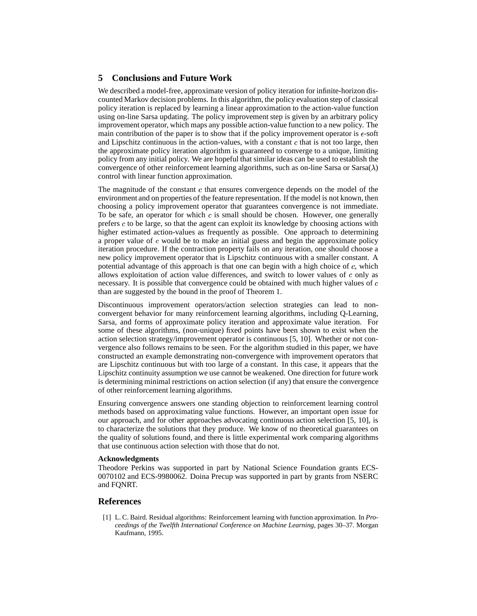# **5 Conclusions and Future Work**

We described a model-free, approximate version of policy iteration for infinite-horizon discounted Markov decision problems. In this algorithm, the policy evaluation step of classical policy iteration is replaced by learning a linear approximation to the action-value function using on-line Sarsa updating. The policy improvement step is given by an arbitrary policy improvement operator, which maps any possible action-value function to a new policy. The main contribution of the paper is to show that if the policy improvement operator is  $\epsilon$ -soft and Lipschitz continuous in the action-values, with a constant  $c$  that is not too large, then the approximate policy iteration algorithm is guaranteed to converge to a unique, limiting policy from any initial policy. We are hopeful that similar ideas can be used to establish the convergence of other reinforcement learning algorithms, such as on-line Sarsa or Sarsa( $\lambda$ ) control with linear function approximation.

The magnitude of the constant  $c$  that ensures convergence depends on the model of the environment and on properties of the feature representation. If the model is not known, then choosing a policy improvement operator that guarantees convergence is not immediate. To be safe, an operator for which  $c$  is small should be chosen. However, one generally prefers  $c$  to be large, so that the agent can exploit its knowledge by choosing actions with higher estimated action-values as frequently as possible. One approach to determining a proper value of  $c$  would be to make an initial guess and begin the approximate policy iteration procedure. If the contraction property fails on any iteration, one should choose a new policy improvement operator that is Lipschitz continuous with a smaller constant. A potential advantage of this approach is that one can begin with a high choice of  $c$ , which allows exploitation of action value differences, and switch to lower values of  $c$  only as necessary. It is possible that convergence could be obtained with much higher values of  $c$ than are suggested by the bound in the proof of Theorem 1.

Discontinuous improvement operators/action selection strategies can lead to nonconvergent behavior for many reinforcement learning algorithms, including Q-Learning, Sarsa, and forms of approximate policy iteration and approximate value iteration. For some of these algorithms, (non-unique) fixed points have been shown to exist when the action selection strategy/improvement operator is continuous [5, 10]. Whether or not convergence also follows remains to be seen. For the algorithm studied in this paper, we have constructed an example demonstrating non-convergence with improvement operators that are Lipschitz continuous but with too large of a constant. In this case, it appears that the Lipschitz continuity assumption we use cannot be weakened. One direction for future work is determining minimal restrictions on action selection (if any) that ensure the convergence of other reinforcement learning algorithms.

Ensuring convergence answers one standing objection to reinforcement learning control methods based on approximating value functions. However, an important open issue for our approach, and for other approaches advocating continuous action selection [5, 10], is to characterize the solutions that they produce. We know of no theoretical guarantees on the quality of solutions found, and there is little experimental work comparing algorithms that use continuous action selection with those that do not.

#### **Acknowledgments**

Theodore Perkins was supported in part by National Science Foundation grants ECS-0070102 and ECS-9980062. Doina Precup was supported in part by grants from NSERC and FQNRT.

## **References**

[1] L. C. Baird. Residual algorithms: Reinforcement learning with function approximation. In *Proceedings of the Twelfth International Conference on Machine Learning*, pages 30–37. Morgan Kaufmann, 1995.